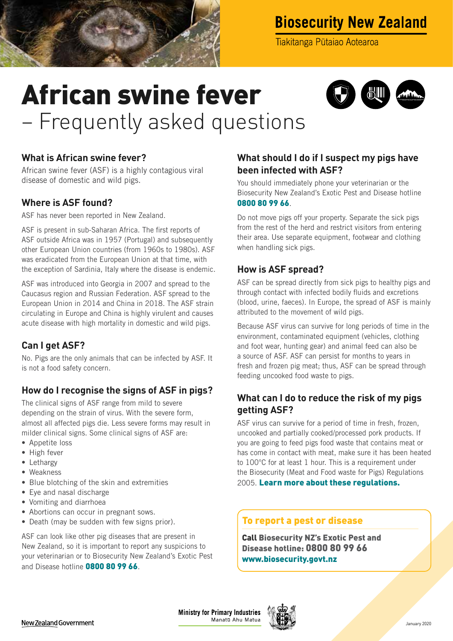

## **Biosecurity New Zealand**

Tiakitanga Pūtaiao Aotearoa

# African swine fever – Frequently asked questions



#### **What is African swine fever?**

African swine fever (ASF) is a highly contagious viral disease of domestic and wild pigs.

#### **Where is ASF found?**

ASF has never been reported in New Zealand.

ASF is present in sub-Saharan Africa. The first reports of ASF outside Africa was in 1957 (Portugal) and subsequently other European Union countries (from 1960s to 1980s). ASF was eradicated from the European Union at that time, with the exception of Sardinia, Italy where the disease is endemic.

ASF was introduced into Georgia in 2007 and spread to the Caucasus region and Russian Federation. ASF spread to the European Union in 2014 and China in 2018. The ASF strain circulating in Europe and China is highly virulent and causes acute disease with high mortality in domestic and wild pigs.

#### **Can I get ASF?**

No. Pigs are the only animals that can be infected by ASF. It is not a food safety concern.

### **How do I recognise the signs of ASF in pigs?**

The clinical signs of ASF range from mild to severe depending on the strain of virus. With the severe form, almost all affected pigs die. Less severe forms may result in milder clinical signs. Some clinical signs of ASF are:

- Appetite loss
- High fever
- Lethargy
- Weakness
- Blue blotching of the skin and extremities
- Eye and nasal discharge
- Vomiting and diarrhoea
- Abortions can occur in pregnant sows.
- Death (may be sudden with few signs prior).

ASF can look like other pig diseases that are present in New Zealand, so it is important to report any suspicions to your veterinarian or to Biosecurity New Zealand's Exotic Pest and Disease hotline **0800 80 99 66**.

#### **What should I do if I suspect my pigs have been infected with ASF?**

You should immediately phone your veterinarian or the Biosecurity New Zealand's Exotic Pest and Disease hotline 0800 80 99 66.

Do not move pigs off your property. Separate the sick pigs from the rest of the herd and restrict visitors from entering their area. Use separate equipment, footwear and clothing when handling sick pigs.

#### **How is ASF spread?**

ASF can be spread directly from sick pigs to healthy pigs and through contact with infected bodily fluids and excretions (blood, urine, faeces). In Europe, the spread of ASF is mainly attributed to the movement of wild pigs.

Because ASF virus can survive for long periods of time in the environment, contaminated equipment (vehicles, clothing and foot wear, hunting gear) and animal feed can also be a source of ASF. ASF can persist for months to years in fresh and frozen pig meat; thus, ASF can be spread through feeding uncooked food waste to pigs.

#### **What can I do to reduce the risk of my pigs getting ASF?**

ASF virus can survive for a period of time in fresh, frozen, uncooked and partially cooked/processed pork products. If you are going to feed pigs food waste that contains meat or has come in contact with meat, make sure it has been heated to 100°C for at least 1 hour. This is a requirement under the Biosecurity (Meat and Food waste for Pigs) Regulations 2005. [Learn more about these regulations.](https://www.biosecurity.govt.nz/processing/pet-food-inedibles-animal-feed-and-supplements/animal-feed-and-disease-prevention/feeding-food-waste-to-pigs-and-preventing-disease/)

#### To report a pest or disease

Call Biosecurity NZ's Exotic Pest and Disease hotline: 0800 80 99 66 [www.biosecurity.govt.nz](http://www.biosecurity.govt.nz)